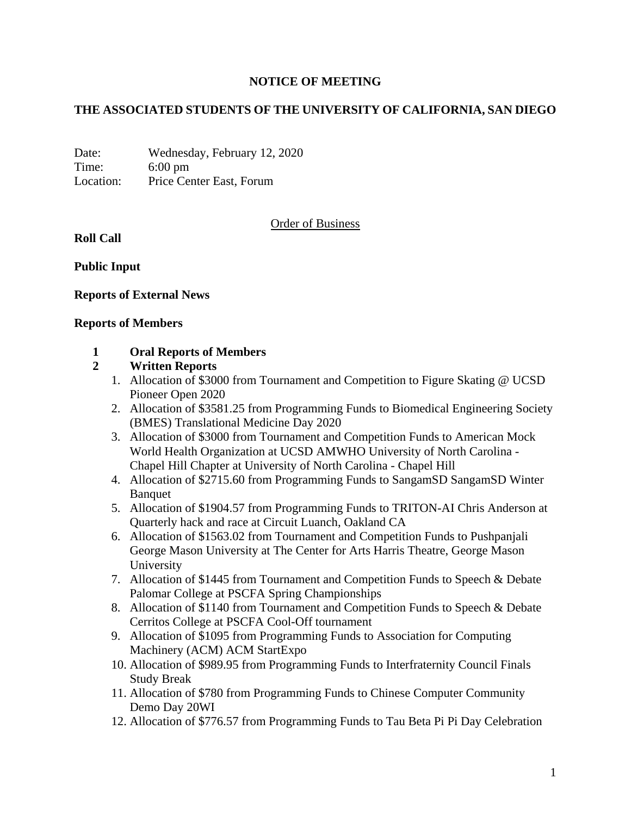## **NOTICE OF MEETING**

## **THE ASSOCIATED STUDENTS OF THE UNIVERSITY OF CALIFORNIA, SAN DIEGO**

Date: Wednesday, February 12, 2020 Time: 6:00 pm Location: Price Center East, Forum

#### Order of Business

**Roll Call**

**Public Input**

#### **Reports of External News**

#### **Reports of Members**

#### **1 Oral Reports of Members**

#### **2 Written Reports**

- 1. Allocation of \$3000 from Tournament and Competition to Figure Skating @ UCSD Pioneer Open 2020
- 2. Allocation of \$3581.25 from Programming Funds to Biomedical Engineering Society (BMES) Translational Medicine Day 2020
- 3. Allocation of \$3000 from Tournament and Competition Funds to American Mock World Health Organization at UCSD AMWHO University of North Carolina - Chapel Hill Chapter at University of North Carolina - Chapel Hill
- 4. Allocation of \$2715.60 from Programming Funds to SangamSD SangamSD Winter Banquet
- 5. Allocation of \$1904.57 from Programming Funds to TRITON-AI Chris Anderson at Quarterly hack and race at Circuit Luanch, Oakland CA
- 6. Allocation of \$1563.02 from Tournament and Competition Funds to Pushpanjali George Mason University at The Center for Arts Harris Theatre, George Mason University
- 7. Allocation of \$1445 from Tournament and Competition Funds to Speech & Debate Palomar College at PSCFA Spring Championships
- 8. Allocation of \$1140 from Tournament and Competition Funds to Speech & Debate Cerritos College at PSCFA Cool-Off tournament
- 9. Allocation of \$1095 from Programming Funds to Association for Computing Machinery (ACM) ACM StartExpo
- 10. Allocation of \$989.95 from Programming Funds to Interfraternity Council Finals Study Break
- 11. Allocation of \$780 from Programming Funds to Chinese Computer Community Demo Day 20WI
- 12. Allocation of \$776.57 from Programming Funds to Tau Beta Pi Pi Day Celebration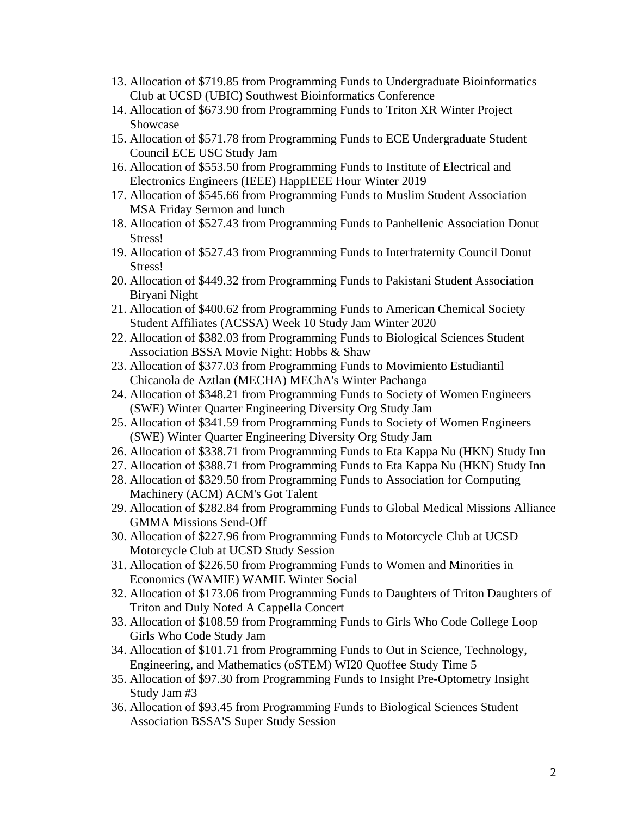- 13. Allocation of \$719.85 from Programming Funds to Undergraduate Bioinformatics Club at UCSD (UBIC) Southwest Bioinformatics Conference
- 14. Allocation of \$673.90 from Programming Funds to Triton XR Winter Project Showcase
- 15. Allocation of \$571.78 from Programming Funds to ECE Undergraduate Student Council ECE USC Study Jam
- 16. Allocation of \$553.50 from Programming Funds to Institute of Electrical and Electronics Engineers (IEEE) HappIEEE Hour Winter 2019
- 17. Allocation of \$545.66 from Programming Funds to Muslim Student Association MSA Friday Sermon and lunch
- 18. Allocation of \$527.43 from Programming Funds to Panhellenic Association Donut Stress!
- 19. Allocation of \$527.43 from Programming Funds to Interfraternity Council Donut Stress!
- 20. Allocation of \$449.32 from Programming Funds to Pakistani Student Association Biryani Night
- 21. Allocation of \$400.62 from Programming Funds to American Chemical Society Student Affiliates (ACSSA) Week 10 Study Jam Winter 2020
- 22. Allocation of \$382.03 from Programming Funds to Biological Sciences Student Association BSSA Movie Night: Hobbs & Shaw
- 23. Allocation of \$377.03 from Programming Funds to Movimiento Estudiantil Chicanola de Aztlan (MECHA) MEChA's Winter Pachanga
- 24. Allocation of \$348.21 from Programming Funds to Society of Women Engineers (SWE) Winter Quarter Engineering Diversity Org Study Jam
- 25. Allocation of \$341.59 from Programming Funds to Society of Women Engineers (SWE) Winter Quarter Engineering Diversity Org Study Jam
- 26. Allocation of \$338.71 from Programming Funds to Eta Kappa Nu (HKN) Study Inn
- 27. Allocation of \$388.71 from Programming Funds to Eta Kappa Nu (HKN) Study Inn
- 28. Allocation of \$329.50 from Programming Funds to Association for Computing Machinery (ACM) ACM's Got Talent
- 29. Allocation of \$282.84 from Programming Funds to Global Medical Missions Alliance GMMA Missions Send-Off
- 30. Allocation of \$227.96 from Programming Funds to Motorcycle Club at UCSD Motorcycle Club at UCSD Study Session
- 31. Allocation of \$226.50 from Programming Funds to Women and Minorities in Economics (WAMIE) WAMIE Winter Social
- 32. Allocation of \$173.06 from Programming Funds to Daughters of Triton Daughters of Triton and Duly Noted A Cappella Concert
- 33. Allocation of \$108.59 from Programming Funds to Girls Who Code College Loop Girls Who Code Study Jam
- 34. Allocation of \$101.71 from Programming Funds to Out in Science, Technology, Engineering, and Mathematics (oSTEM) WI20 Quoffee Study Time 5
- 35. Allocation of \$97.30 from Programming Funds to Insight Pre-Optometry Insight Study Jam #3
- 36. Allocation of \$93.45 from Programming Funds to Biological Sciences Student Association BSSA'S Super Study Session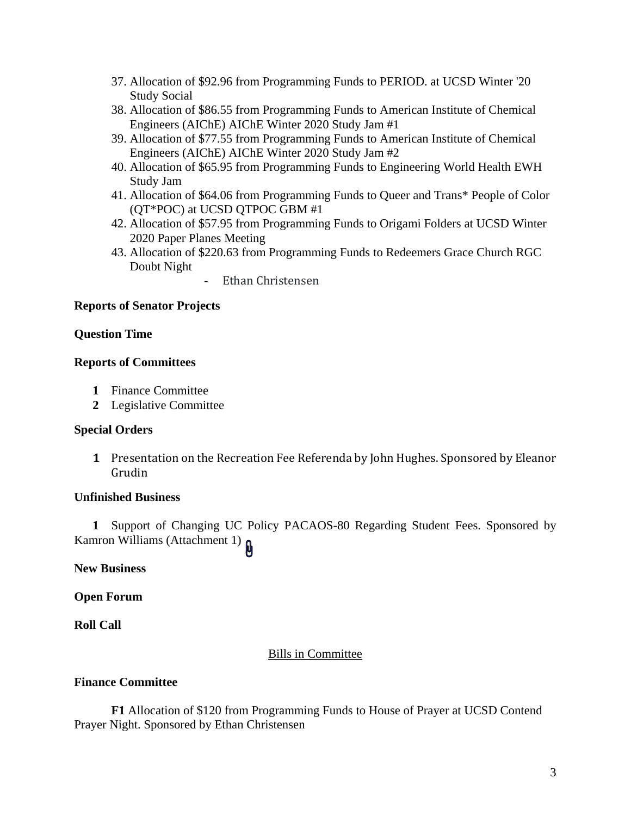- 37. Allocation of \$92.96 from Programming Funds to PERIOD. at UCSD Winter '20 Study Social
- 38. Allocation of \$86.55 from Programming Funds to American Institute of Chemical Engineers (AIChE) AIChE Winter 2020 Study Jam #1
- 39. Allocation of \$77.55 from Programming Funds to American Institute of Chemical Engineers (AIChE) AIChE Winter 2020 Study Jam #2
- 40. Allocation of \$65.95 from Programming Funds to Engineering World Health EWH Study Jam
- 41. Allocation of \$64.06 from Programming Funds to Queer and Trans\* People of Color (QT\*POC) at UCSD QTPOC GBM #1
- 42. Allocation of \$57.95 from Programming Funds to Origami Folders at UCSD Winter 2020 Paper Planes Meeting
- 43. Allocation of \$220.63 from Programming Funds to Redeemers Grace Church RGC Doubt Night
	- Ethan Christensen

## **Reports of Senator Projects**

#### **Question Time**

## **Reports of Committees**

- **1** Finance Committee
- **2** Legislative Committee

#### **Special Orders**

**1** Presentation on the Recreation Fee Referenda by John Hughes. Sponsored by Eleanor Grudin

#### **Unfinished Business**

**1** Support of Changing UC Policy PACAOS-80 Regarding Student Fees. Sponsored by Kamron Williams (Attachment 1)

**New Business**

**Open Forum**

**Roll Call**

## Bills in Committee

#### **Finance Committee**

**F1** Allocation of \$120 from Programming Funds to House of Prayer at UCSD Contend Prayer Night. Sponsored by Ethan Christensen